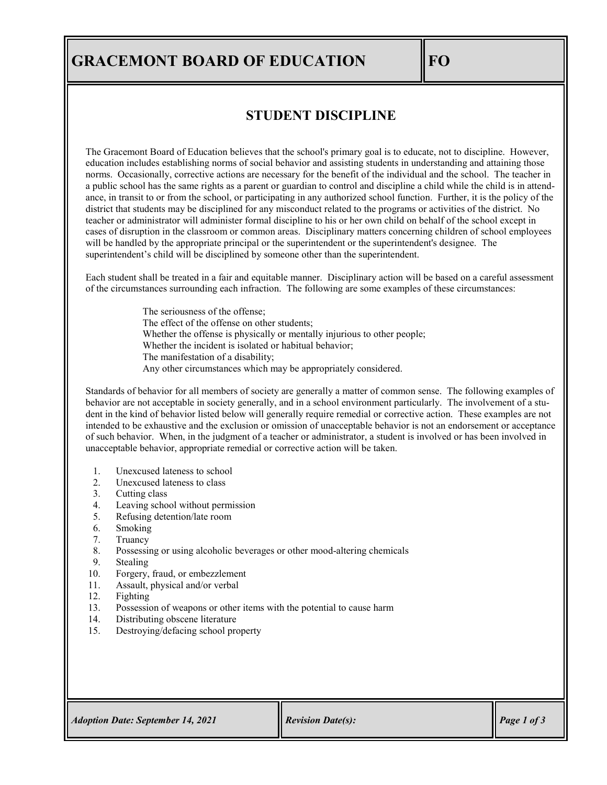## **GRACEMONT BOARD OF EDUCATION FO**

## **STUDENT DISCIPLINE**

The Gracemont Board of Education believes that the school's primary goal is to educate, not to discipline. However, education includes establishing norms of social behavior and assisting students in understanding and attaining those norms. Occasionally, corrective actions are necessary for the benefit of the individual and the school. The teacher in a public school has the same rights as a parent or guardian to control and discipline a child while the child is in attendance, in transit to or from the school, or participating in any authorized school function. Further, it is the policy of the district that students may be disciplined for any misconduct related to the programs or activities of the district. No teacher or administrator will administer formal discipline to his or her own child on behalf of the school except in cases of disruption in the classroom or common areas. Disciplinary matters concerning children of school employees will be handled by the appropriate principal or the superintendent or the superintendent's designee. The superintendent's child will be disciplined by someone other than the superintendent.

Each student shall be treated in a fair and equitable manner. Disciplinary action will be based on a careful assessment of the circumstances surrounding each infraction. The following are some examples of these circumstances:

> The seriousness of the offense; The effect of the offense on other students; Whether the offense is physically or mentally injurious to other people; Whether the incident is isolated or habitual behavior; The manifestation of a disability; Any other circumstances which may be appropriately considered.

Standards of behavior for all members of society are generally a matter of common sense. The following examples of behavior are not acceptable in society generally, and in a school environment particularly. The involvement of a student in the kind of behavior listed below will generally require remedial or corrective action. These examples are not intended to be exhaustive and the exclusion or omission of unacceptable behavior is not an endorsement or acceptance of such behavior. When, in the judgment of a teacher or administrator, a student is involved or has been involved in unacceptable behavior, appropriate remedial or corrective action will be taken.

- 1. Unexcused lateness to school
- 2. Unexcused lateness to class
- 3. Cutting class
- 4. Leaving school without permission
- 5. Refusing detention/late room
- 6. Smoking
- 7. Truancy<br>8. Possessii
- Possessing or using alcoholic beverages or other mood-altering chemicals
- 9. Stealing
- 10. Forgery, fraud, or embezzlement
- 11. Assault, physical and/or verbal
- 12. Fighting
- 13. Possession of weapons or other items with the potential to cause harm
- 14. Distributing obscene literature
- 15. Destroying/defacing school property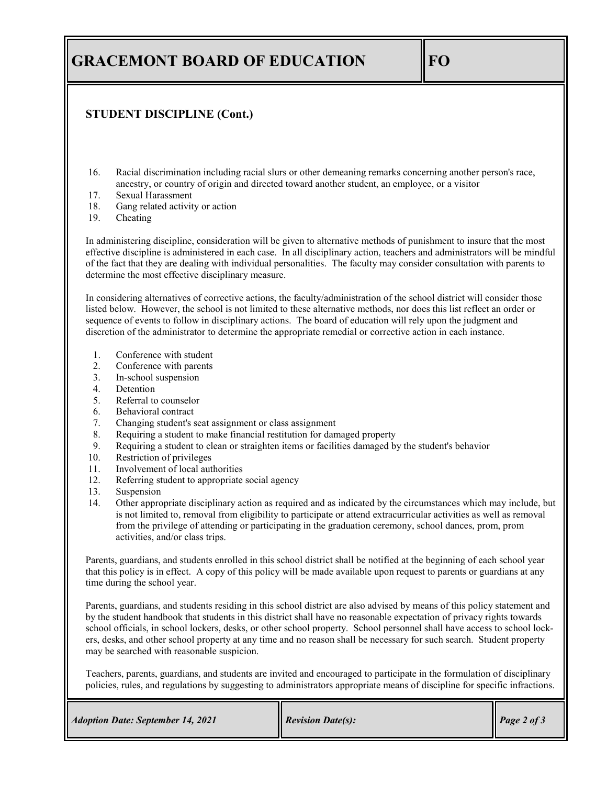## **GRACEMONT BOARD OF EDUCATION FO**

## **STUDENT DISCIPLINE (Cont.)**

- 16. Racial discrimination including racial slurs or other demeaning remarks concerning another person's race, ancestry, or country of origin and directed toward another student, an employee, or a visitor
- 17. Sexual Harassment
- 18. Gang related activity or action<br>19. Cheating
- Cheating

In administering discipline, consideration will be given to alternative methods of punishment to insure that the most effective discipline is administered in each case. In all disciplinary action, teachers and administrators will be mindful of the fact that they are dealing with individual personalities. The faculty may consider consultation with parents to determine the most effective disciplinary measure.

In considering alternatives of corrective actions, the faculty/administration of the school district will consider those listed below. However, the school is not limited to these alternative methods, nor does this list reflect an order or sequence of events to follow in disciplinary actions. The board of education will rely upon the judgment and discretion of the administrator to determine the appropriate remedial or corrective action in each instance.

- 1. Conference with student
- 2. Conference with parents
- 3. In-school suspension
- 4. Detention
- 5. Referral to counselor
- 6. Behavioral contract
- 7. Changing student's seat assignment or class assignment
- 8. Requiring a student to make financial restitution for damaged property
- 9. Requiring a student to clean or straighten items or facilities damaged by the student's behavior
- 10. Restriction of privileges
- 11. Involvement of local authorities<br>12. Referring student to appropriate
- Referring student to appropriate social agency
- 13. Suspension
- 14. Other appropriate disciplinary action as required and as indicated by the circumstances which may include, but is not limited to, removal from eligibility to participate or attend extracurricular activities as well as removal from the privilege of attending or participating in the graduation ceremony, school dances, prom, prom activities, and/or class trips.

Parents, guardians, and students enrolled in this school district shall be notified at the beginning of each school year that this policy is in effect. A copy of this policy will be made available upon request to parents or guardians at any time during the school year.

Parents, guardians, and students residing in this school district are also advised by means of this policy statement and by the student handbook that students in this district shall have no reasonable expectation of privacy rights towards school officials, in school lockers, desks, or other school property. School personnel shall have access to school lockers, desks, and other school property at any time and no reason shall be necessary for such search. Student property may be searched with reasonable suspicion.

Teachers, parents, guardians, and students are invited and encouraged to participate in the formulation of disciplinary policies, rules, and regulations by suggesting to administrators appropriate means of discipline for specific infractions.